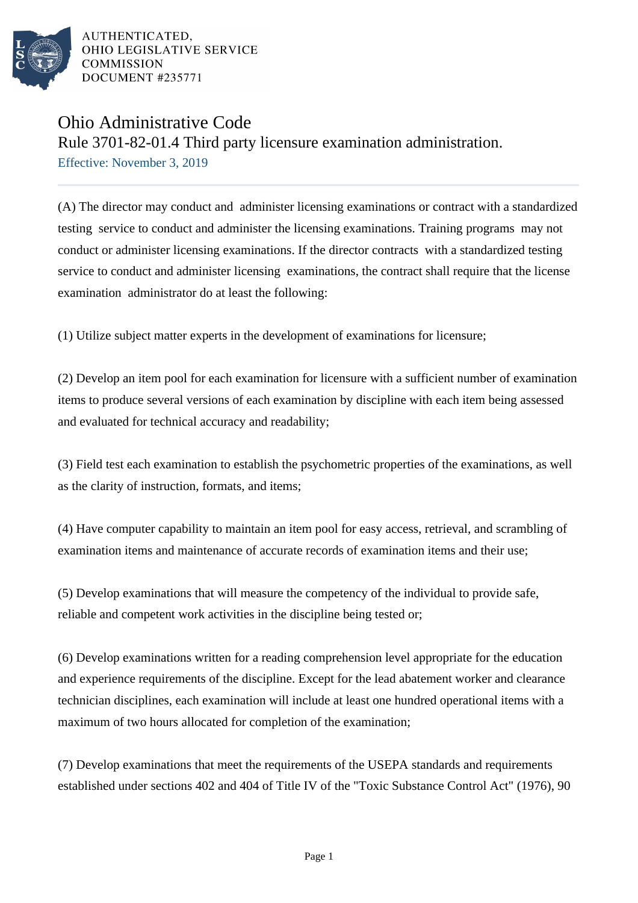

AUTHENTICATED. OHIO LEGISLATIVE SERVICE COMMISSION DOCUMENT #235771

## Ohio Administrative Code

Rule 3701-82-01.4 Third party licensure examination administration. Effective: November 3, 2019

(A) The director may conduct and administer licensing examinations or contract with a standardized testing service to conduct and administer the licensing examinations. Training programs may not conduct or administer licensing examinations. If the director contracts with a standardized testing service to conduct and administer licensing examinations, the contract shall require that the license examination administrator do at least the following:

(1) Utilize subject matter experts in the development of examinations for licensure;

(2) Develop an item pool for each examination for licensure with a sufficient number of examination items to produce several versions of each examination by discipline with each item being assessed and evaluated for technical accuracy and readability;

(3) Field test each examination to establish the psychometric properties of the examinations, as well as the clarity of instruction, formats, and items;

(4) Have computer capability to maintain an item pool for easy access, retrieval, and scrambling of examination items and maintenance of accurate records of examination items and their use;

(5) Develop examinations that will measure the competency of the individual to provide safe, reliable and competent work activities in the discipline being tested or;

(6) Develop examinations written for a reading comprehension level appropriate for the education and experience requirements of the discipline. Except for the lead abatement worker and clearance technician disciplines, each examination will include at least one hundred operational items with a maximum of two hours allocated for completion of the examination;

(7) Develop examinations that meet the requirements of the USEPA standards and requirements established under sections 402 and 404 of Title IV of the "Toxic Substance Control Act" (1976), 90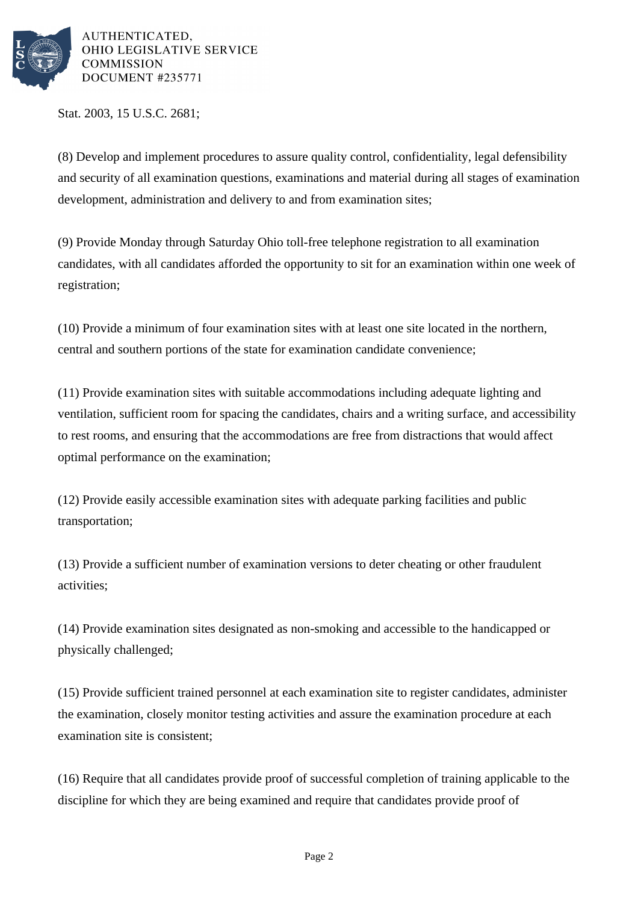

AUTHENTICATED. OHIO LEGISLATIVE SERVICE **COMMISSION** DOCUMENT #235771

Stat. 2003, 15 U.S.C. 2681;

(8) Develop and implement procedures to assure quality control, confidentiality, legal defensibility and security of all examination questions, examinations and material during all stages of examination development, administration and delivery to and from examination sites;

(9) Provide Monday through Saturday Ohio toll-free telephone registration to all examination candidates, with all candidates afforded the opportunity to sit for an examination within one week of registration;

 $(10)$  Provide a minimum of four examination sites with at least one site located in the northern, central and southern portions of the state for examination candidate convenience;

(11) Provide examination sites with suitable accommodations including adequate lighting and ventilation, sufficient room for spacing the candidates, chairs and a writing surface, and accessibility to rest rooms, and ensuring that the accommodations are free from distractions that would affect optimal performance on the examination;

(12) Provide easily accessible examination sites with adequate parking facilities and public transportation;

(13) Provide a sufficient number of examination versions to deter cheating or other fraudulent activities;

(14) Provide examination sites designated as non-smoking and accessible to the handicapped or physically challenged;

(15) Provide sufficient trained personnel at each examination site to register candidates, administer the examination, closely monitor testing activities and assure the examination procedure at each examination site is consistent;

(16) Require that all candidates provide proof of successful completion of training applicable to the discipline for which they are being examined and require that candidates provide proof of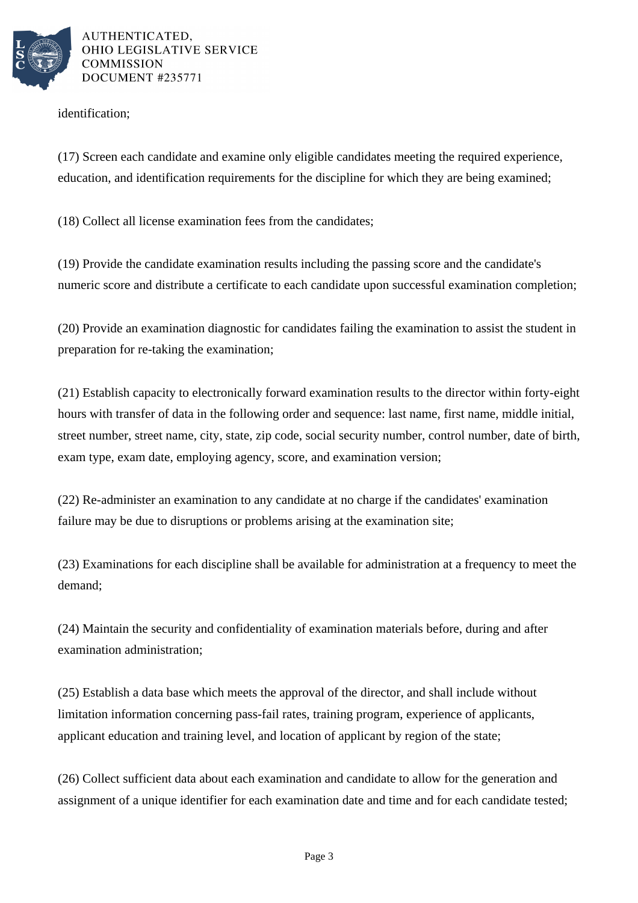

AUTHENTICATED. OHIO LEGISLATIVE SERVICE **COMMISSION** DOCUMENT #235771

identification;

(17) Screen each candidate and examine only eligible candidates meeting the required experience, education, and identification requirements for the discipline for which they are being examined;

(18) Collect all license examination fees from the candidates;

(19) Provide the candidate examination results including the passing score and the candidate's numeric score and distribute a certificate to each candidate upon successful examination completion;

(20) Provide an examination diagnostic for candidates failing the examination to assist the student in preparation for re-taking the examination;

(21) Establish capacity to electronically forward examination results to the director within forty-eight hours with transfer of data in the following order and sequence: last name, first name, middle initial, street number, street name, city, state, zip code, social security number, control number, date of birth, exam type, exam date, employing agency, score, and examination version;

(22) Re-administer an examination to any candidate at no charge if the candidates' examination failure may be due to disruptions or problems arising at the examination site;

(23) Examinations for each discipline shall be available for administration at a frequency to meet the demand;

(24) Maintain the security and confidentiality of examination materials before, during and after examination administration;

(25) Establish a data base which meets the approval of the director, and shall include without limitation information concerning pass-fail rates, training program, experience of applicants, applicant education and training level, and location of applicant by region of the state;

(26) Collect sufficient data about each examination and candidate to allow for the generation and assignment of a unique identifier for each examination date and time and for each candidate tested;